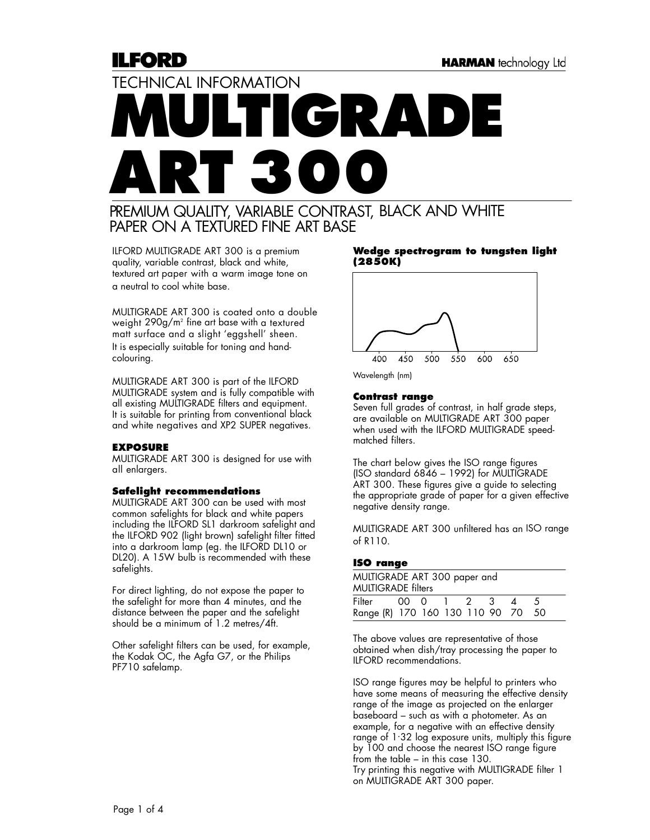## ILFORD

# TECHNICAL INFORMATION **MULTIGRADE ART 300**

### PREMIUM QUALITY, VARIABLE CONTRAST, BLACK AND WHITE PAPER ON A TEXTURED FINE ART BASE

ILFORD MULTIGRADE ART 300 is a premium quality, variable contrast, black and white, textured art paper with a warm image tone on a neutral to cool white base.

MULTIGRADE ART 300 is coated onto a double weight 290g/m2 fine art base with a textured matt surface and a slight 'eggshell' sheen. It is especially suitable for toning and handcolouring.

MULTIGRADE ART 300 is part of the ILFORD MULTIGRADE system and is fully compatible with all existing MULTIGRADE filters and equipment. It is suitable for printing from conventional black and white negatives and XP2 SUPER negatives.

#### **EXPOSURE**

MULTIGRADE ART 300 is designed for use with all enlargers.

#### **Safelight recommendations**

MULTIGRADE ART 300 can be used with most common safelights for black and white papers including the ILFORD SL1 darkroom safelight and the ILFORD 902 (light brown) safelight filter fitted into a darkroom lamp (eg. the ILFORD DL10 or DL20). A 15W bulb is recommended with these safelights.

For direct lighting, do not expose the paper to the safelight for more than 4 minutes, and the distance between the paper and the safelight should be a minimum of 1.2 metres/4ft.

Other safelight filters can be used, for example, the Kodak OC, the Agfa G7, or the Philips PF710 safelamp.

#### **Wedge spectrogram to tungsten light (2850K)**



Wavelength (nm)

#### **Contrast range**

Seven full grades of contrast, in half grade steps, are available on MULTIGRADE ART 300 paper when used with the ILFORD MULTIGRADE speedmatched filters.

The chart below gives the ISO range figures (ISO standard 6846 – 1992) for MULTIGRADE ART 300. These figures give a guide to selecting the appropriate grade of paper for a given effective negative density range.

MULTIGRADE ART 300 unfiltered has an ISO range of R110.

#### **ISO range**

| MULTIGRADE ART 300 paper and<br><b>MULTIGRADE</b> filters |  |  |  |  |  |      |
|-----------------------------------------------------------|--|--|--|--|--|------|
| Filter 00 0 1 2 3 4                                       |  |  |  |  |  |      |
| Range (R) 170 160 130 110 90 70                           |  |  |  |  |  | - 50 |

The above values are representative of those obtained when dish/tray processing the paper to ILFORD recommendations.

ISO range figures may be helpful to printers who have some means of measuring the effective density range of the image as projected on the enlarger baseboard – such as with a photometer. As an example, for a negative with an effective density range of 1. 32 log exposure units, multiply this figure by 100 and choose the nearest ISO range figure from the table – in this case 130. Try printing this negative with MULTIGRADE filter 1 on MULTIGRADE ART 300 paper.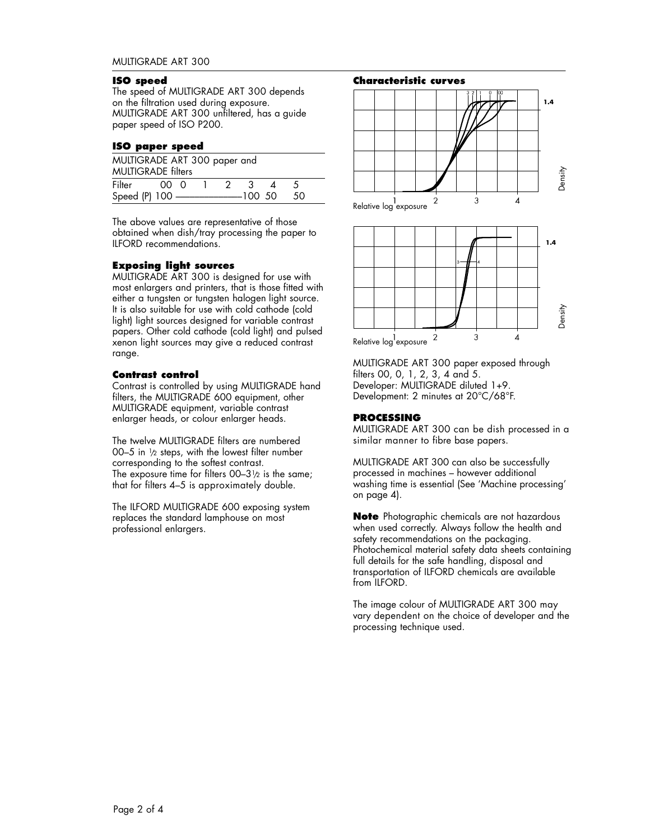#### **ISO speed**

The speed of MULTIGRADE ART 300 depends on the filtration used during exposure. MULTIGRADE ART 300 unfiltered, has a guide paper speed of ISO P200.

#### **ISO paper speed**

| MULTIGRADE ART 300 paper and<br><b>MULTIGRADE filters</b> |  |  |  |  |  |  |      |  |
|-----------------------------------------------------------|--|--|--|--|--|--|------|--|
| Filter 00 0 1 2 3 4                                       |  |  |  |  |  |  |      |  |
|                                                           |  |  |  |  |  |  | - 50 |  |

The above values are representative of those obtained when dish/tray processing the paper to ILFORD recommendations.

#### **Exposing light sources**

MULTIGRADE ART 300 is designed for use with most enlargers and printers, that is those fitted with either a tungsten or tungsten halogen light source. It is also suitable for use with cold cathode (cold light) light sources designed for variable contrast papers. Other cold cathode (cold light) and pulsed xenon light sources may give a reduced contrast range.

#### **Contrast control**

Contrast is controlled by using MULTIGRADE hand filters, the MULTIGRADE 600 equipment, other MULTIGRADE equipment, variable contrast enlarger heads, or colour enlarger heads.

The twelve MULTIGRADE filters are numbered 00–5 in  $1/2$  steps, with the lowest filter number corresponding to the softest contrast. The exposure time for filters  $00-3\frac{1}{2}$  is the same; that for filters 4–5 is approximately double.

The ILFORD MULTIGRADE 600 exposing system replaces the standard lamphouse on most professional enlargers.



MULTIGRADE ART 300 paper exposed through filters 00, 0, 1, 2, 3, 4 and 5. Developer: MULTIGRADE diluted 1+9. Development: 2 minutes at 20°C/68°F.

#### **PROCESSING**

MULTIGRADE ART 300 can be dish processed in a similar manner to fibre base papers.

MULTIGRADE ART 300 can also be successfully processed in machines – however additional washing time is essential (See 'Machine processing' on page 4).

**Note** Photographic chemicals are not hazardous when used correctly. Always follow the health and safety recommendations on the packaging. Photochemical material safety data sheets containing full details for the safe handling, disposal and transportation of ILFORD chemicals are available from ILFORD.

The image colour of MULTIGRADE ART 300 may vary dependent on the choice of developer and the processing technique used.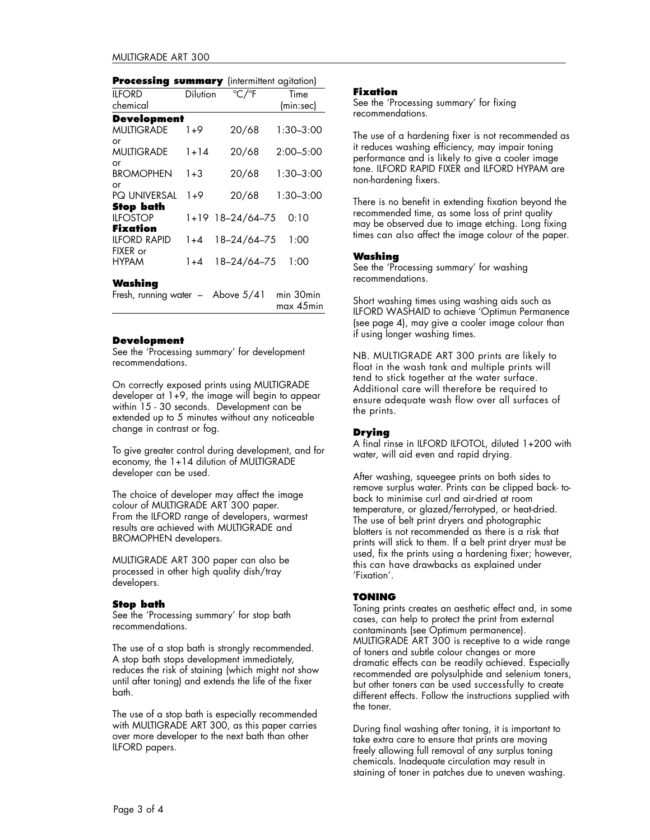| <b>Processing summary</b> (intermittent agitation) |                 |                           |               |  |
|----------------------------------------------------|-----------------|---------------------------|---------------|--|
| <b>ILFORD</b>                                      | <b>Dilution</b> | $\mathrm{C}/\mathrm{P}$ F | Time          |  |
| chemical                                           |                 |                           | (min:sec)     |  |
| <b>Development</b>                                 |                 |                           |               |  |
| <b>MUITIGRADE</b>                                  | 1+9             | 20/68                     | $1:30 - 3:00$ |  |
| or                                                 |                 |                           |               |  |
| <b>MULTIGRADE</b>                                  | $1 + 14$        | 20/68                     | $2:00 - 5:00$ |  |
| or                                                 |                 |                           |               |  |
| <b>BROMOPHEN</b>                                   | $1 + 3$         | 20/68                     | $1:30 - 3:00$ |  |
| or                                                 |                 |                           |               |  |
| <b>PQ UNIVERSAL</b>                                | $1 + 9$         | 20/68                     | $1:30 - 3:00$ |  |
| <b>Stop bath</b>                                   |                 |                           |               |  |
| <b>ILFOSTOP</b>                                    |                 | 1+19 18-24/64-75          | 0:10          |  |
| Fixation                                           |                 |                           |               |  |
| <b>ILFORD RAPID</b><br>FIXER or                    | $1 + 4$         | 18-24/64-75               | 1:00          |  |
| <b>HYPAM</b>                                       | 1+4             | 18-24/64-75               | 1:00          |  |

#### **Washing**

Fresh, running water – Above 5/41 min 30min max 45min

#### **Development**

See the 'Processing summary' for development recommendations.

On correctly exposed prints using MULTIGRADE developer at 1+9, the image will begin to appear within 15 - 30 seconds. Development can be extended up to 5 minutes without any noticeable change in contrast or fog.

To give greater control during development, and for economy, the 1+14 dilution of MULTIGRADE developer can be used.

The choice of developer may affect the image colour of MULTIGRADE ART 300 paper. From the ILFORD range of developers, warmest results are achieved with MULTIGRADE and BROMOPHEN developers.

MULTIGRADE ART 300 paper can also be processed in other high quality dish/tray developers.

#### **Stop bath**

See the 'Processing summary' for stop bath recommendations.

The use of a stop bath is strongly recommended. A stop bath stops development immediately, reduces the risk of staining (which might not show until after toning) and extends the life of the fixer bath.

The use of a stop bath is especially recommended with MULTIGRADE ART 300, as this paper carries over more developer to the next bath than other ILFORD papers.

#### **Fixation**

See the 'Processing summary' for fixing recommendations.

The use of a hardening fixer is not recommended as it reduces washing efficiency, may impair toning performance and is likely to give a cooler image tone. ILFORD RAPID FIXER and ILFORD HYPAM are non-hardening fixers.

There is no benefit in extending fixation beyond the recommended time, as some loss of print quality may be observed due to image etching. Long fixing times can also affect the image colour of the paper.

#### **Washing**

See the 'Processing summary' for washing recommendations.

Short washing times using washing aids such as ILFORD WASHAID to achieve 'Optimun Permanence (see page 4), may give a cooler image colour than if using longer washing times.

NB. MULTIGRADE ART 300 prints are likely to float in the wash tank and multiple prints will tend to stick together at the water surface. Additional care will therefore be required to ensure adequate wash flow over all surfaces of the prints.

#### **Drying**

A final rinse in ILFORD ILFOTOL, diluted 1+200 with water, will aid even and rapid drying.

After washing, squeegee prints on both sides to remove surplus water. Prints can be clipped back- toback to minimise curl and air-dried at room temperature, or glazed/ferrotyped, or heat-dried. The use of belt print dryers and photographic blotters is not recommended as there is a risk that prints will stick to them. If a belt print dryer must be used, fix the prints using a hardening fixer; however, this can have drawbacks as explained under 'Fixation'.

#### **TONING**

Toning prints creates an aesthetic effect and, in some cases, can help to protect the print from external contaminants (see Optimum permanence). MULTIGRADE ART 300 is receptive to a wide range of toners and subtle colour changes or more dramatic effects can be readily achieved. Especially recommended are polysulphide and selenium toners, but other toners can be used successfully to create different effects. Follow the instructions supplied with the toner.

During final washing after toning, it is important to take extra care to ensure that prints are moving freely allowing full removal of any surplus toning chemicals. Inadequate circulation may result in staining of toner in patches due to uneven washing.